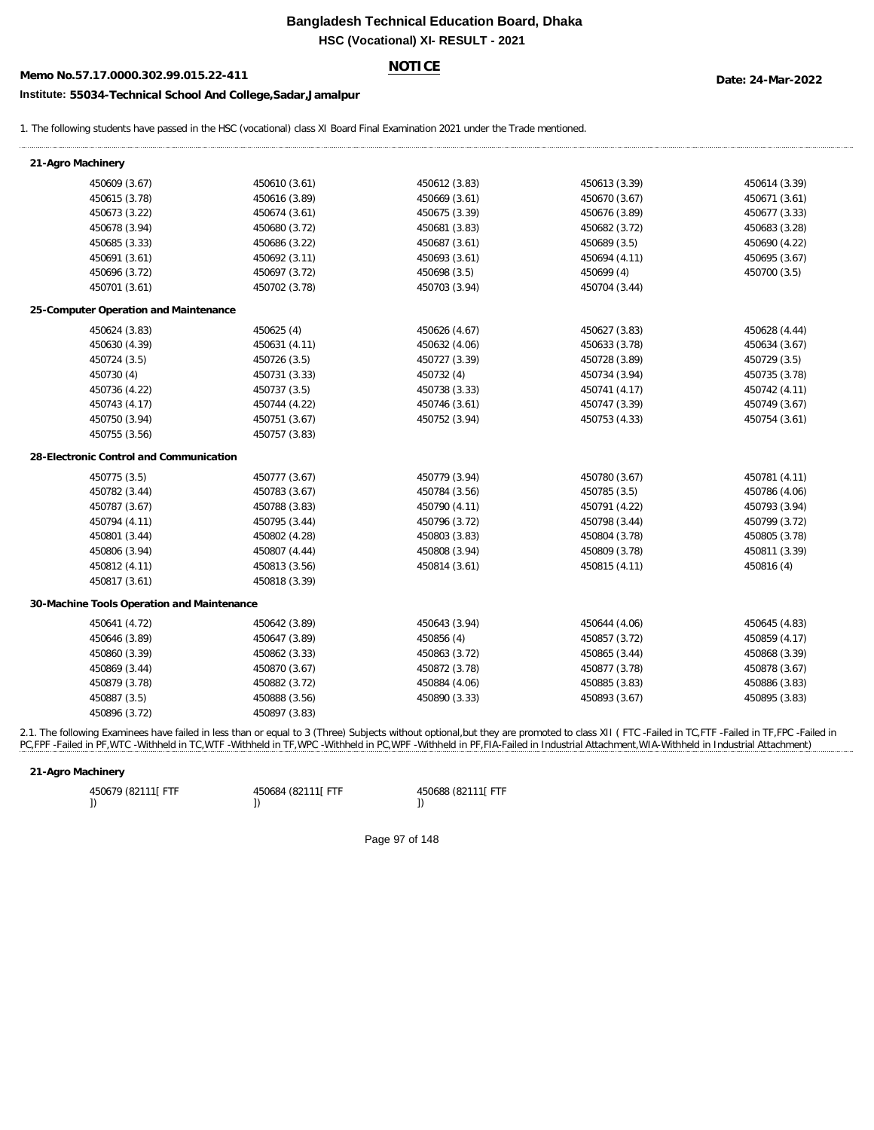# **Bangladesh Technical Education Board, Dhaka HSC (Vocational) XI- RESULT - 2021**

# **Memo No.57.17.0000.302.99.015.22-411 Date: 24-Mar-2022**

# **NOTICE**

## **Institute: 55034-Technical School And College,Sadar,Jamalpur**

1. The following students have passed in the HSC (vocational) class XI Board Final Examination 2021 under the Trade mentioned.

| 21-Agro Machinery                          |               |               |               |               |  |  |
|--------------------------------------------|---------------|---------------|---------------|---------------|--|--|
| 450609 (3.67)                              | 450610 (3.61) | 450612 (3.83) | 450613 (3.39) | 450614 (3.39) |  |  |
| 450615 (3.78)                              | 450616 (3.89) | 450669 (3.61) | 450670 (3.67) | 450671 (3.61) |  |  |
| 450673 (3.22)                              | 450674 (3.61) | 450675 (3.39) | 450676 (3.89) | 450677 (3.33) |  |  |
| 450678 (3.94)                              | 450680 (3.72) | 450681 (3.83) | 450682 (3.72) | 450683 (3.28) |  |  |
| 450685 (3.33)                              | 450686 (3.22) | 450687 (3.61) | 450689 (3.5)  | 450690 (4.22) |  |  |
| 450691 (3.61)                              | 450692 (3.11) | 450693 (3.61) | 450694 (4.11) | 450695 (3.67) |  |  |
| 450696 (3.72)                              | 450697 (3.72) | 450698 (3.5)  | 450699 (4)    | 450700 (3.5)  |  |  |
| 450701 (3.61)                              | 450702 (3.78) | 450703 (3.94) | 450704 (3.44) |               |  |  |
| 25-Computer Operation and Maintenance      |               |               |               |               |  |  |
| 450624 (3.83)                              | 450625 (4)    | 450626 (4.67) | 450627 (3.83) | 450628 (4.44) |  |  |
| 450630 (4.39)                              | 450631 (4.11) | 450632 (4.06) | 450633 (3.78) | 450634 (3.67) |  |  |
| 450724 (3.5)                               | 450726 (3.5)  | 450727 (3.39) | 450728 (3.89) | 450729 (3.5)  |  |  |
| 450730 (4)                                 | 450731 (3.33) | 450732 (4)    | 450734 (3.94) | 450735 (3.78) |  |  |
| 450736 (4.22)                              | 450737 (3.5)  | 450738 (3.33) | 450741 (4.17) | 450742 (4.11) |  |  |
| 450743 (4.17)                              | 450744 (4.22) | 450746 (3.61) | 450747 (3.39) | 450749 (3.67) |  |  |
| 450750 (3.94)                              | 450751 (3.67) | 450752 (3.94) | 450753 (4.33) | 450754 (3.61) |  |  |
| 450755 (3.56)                              | 450757 (3.83) |               |               |               |  |  |
| 28-Electronic Control and Communication    |               |               |               |               |  |  |
| 450775 (3.5)                               | 450777 (3.67) | 450779 (3.94) | 450780 (3.67) | 450781 (4.11) |  |  |
| 450782 (3.44)                              | 450783 (3.67) | 450784 (3.56) | 450785 (3.5)  | 450786 (4.06) |  |  |
| 450787 (3.67)                              | 450788 (3.83) | 450790 (4.11) | 450791 (4.22) | 450793 (3.94) |  |  |
| 450794 (4.11)                              | 450795 (3.44) | 450796 (3.72) | 450798 (3.44) | 450799 (3.72) |  |  |
| 450801 (3.44)                              | 450802 (4.28) | 450803 (3.83) | 450804 (3.78) | 450805 (3.78) |  |  |
| 450806 (3.94)                              | 450807 (4.44) | 450808 (3.94) | 450809 (3.78) | 450811 (3.39) |  |  |
| 450812 (4.11)                              | 450813 (3.56) | 450814 (3.61) | 450815 (4.11) | 450816 (4)    |  |  |
| 450817 (3.61)                              | 450818 (3.39) |               |               |               |  |  |
| 30-Machine Tools Operation and Maintenance |               |               |               |               |  |  |
| 450641 (4.72)                              | 450642 (3.89) | 450643 (3.94) | 450644 (4.06) | 450645 (4.83) |  |  |
| 450646 (3.89)                              | 450647 (3.89) | 450856 (4)    | 450857 (3.72) | 450859 (4.17) |  |  |
| 450860 (3.39)                              | 450862 (3.33) | 450863 (3.72) | 450865 (3.44) | 450868 (3.39) |  |  |
| 450869 (3.44)                              | 450870 (3.67) | 450872 (3.78) | 450877 (3.78) | 450878 (3.67) |  |  |
| 450879 (3.78)                              | 450882 (3.72) | 450884 (4.06) | 450885 (3.83) | 450886 (3.83) |  |  |
| 450887 (3.5)                               | 450888 (3.56) | 450890 (3.33) | 450893 (3.67) | 450895 (3.83) |  |  |
| 450896 (3.72)                              | 450897 (3.83) |               |               |               |  |  |

2.1. The following Examinees have failed in less than or equal to 3 (Three) Subjects without optional,but they are promoted to class XII (FTC -Failed in TC,FTF -Failed in TF,FPC -Failed in PC,FPF -Failed in PF,WTC -Withheld in TC,WTF -Withheld in TF,WPC -Withheld in PC,WPF -Withheld in PF,FIA-Failed in Industrial Attachment,WIA-Withheld in Industrial Attachment)

#### **21-Agro Machinery**

| 450679 (82111) FTF | 450684 (82111 FTF | 450688 (82111 FTF |
|--------------------|-------------------|-------------------|
|                    |                   |                   |

Page 97 of 148